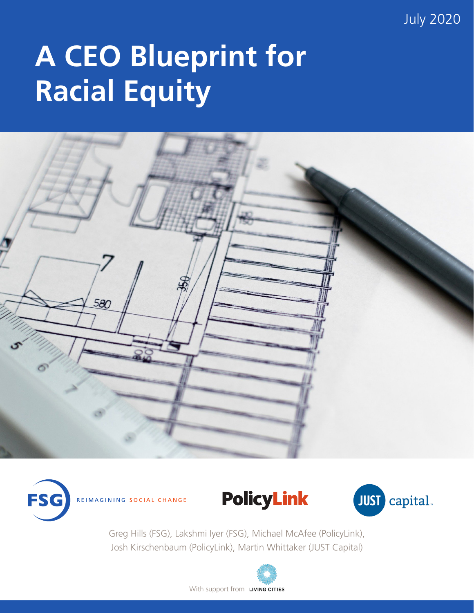July 2020

# **A CEO Blueprint for Racial Equity**





REIMAGINING SOCIAL CHANGE





Greg Hills (FSG), Lakshmi Iyer (FSG), Michael McAfee (PolicyLink), Josh Kirschenbaum (PolicyLink), Martin Whittaker (JUST Capital)

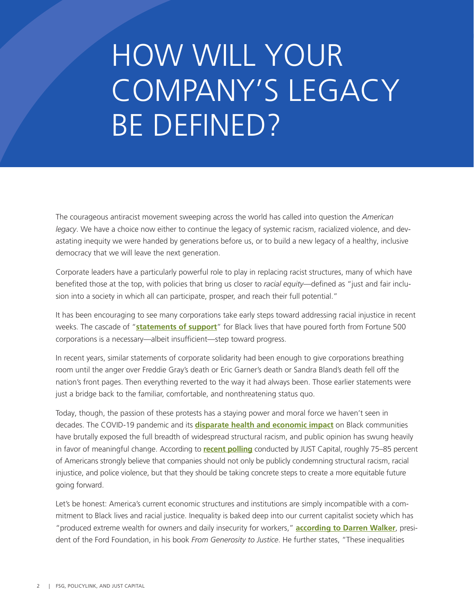# HOW WILL YOUR COMPANY'S LEGACY BE DEFINED?

The courageous antiracist movement sweeping across the world has called into question the *American legacy*. We have a choice now either to continue the legacy of systemic racism, racialized violence, and devastating inequity we were handed by generations before us, or to build a new legacy of a healthy, inclusive democracy that we will leave the next generation.

Corporate leaders have a particularly powerful role to play in replacing racist structures, many of which have benefited those at the top, with policies that bring us closer to *racial equity*—defined as "just and fair inclusion into a society in which all can participate, prosper, and reach their full potential."

It has been encouraging to see many corporations take early steps toward addressing racial injustice in recent weeks. The cascade of "**[statements of support](https://www.fastcompany.com/90511569/george-floyd-protest-ceos-and-business-leaders-respond-to-nationwide-civil-unrest)**" for Black lives that have poured forth from Fortune 500 corporations is a necessary—albeit insufficient—step toward progress.

In recent years, similar statements of corporate solidarity had been enough to give corporations breathing room until the anger over Freddie Gray's death or Eric Garner's death or Sandra Bland's death fell off the nation's front pages. Then everything reverted to the way it had always been. Those earlier statements were just a bridge back to the familiar, comfortable, and nonthreatening status quo.

Today, though, the passion of these protests has a staying power and moral force we haven't seen in decades. The COVID-19 pandemic and its **[disparate health and economic impact](https://www.cdc.gov/coronavirus/2019-ncov/need-extra-precautions/racial-ethnic-minorities.html)** on Black communities have brutally exposed the full breadth of widespread structural racism, and public opinion has swung heavily in favor of meaningful change. According to **[recent polling](https://justcapital.com/polling/)** conducted by JUST Capital, roughly 75–85 percent of Americans strongly believe that companies should not only be publicly condemning structural racism, racial injustice, and police violence, but that they should be taking concrete steps to create a more equitable future going forward.

Let's be honest: America's current economic structures and institutions are simply incompatible with a commitment to Black lives and racial justice. Inequality is baked deep into our current capitalist society which has "produced extreme wealth for owners and daily insecurity for workers," **[according to Darren Walker](https://www.fordfoundation.org/ideas/ford-forum/the-future-of-philanthropy/from-generosity-to-justice/)**, president of the Ford Foundation, in his book *From Generosity to Justice*. He further states, "These inequalities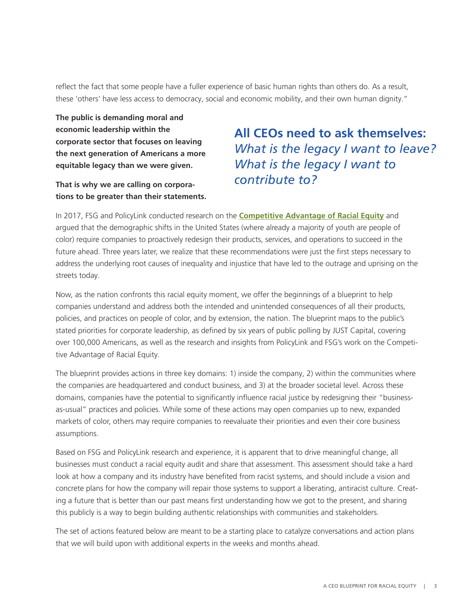reflect the fact that some people have a fuller experience of basic human rights than others do. As a result, these 'others' have less access to democracy, social and economic mobility, and their own human dignity."

**The public is demanding moral and economic leadership within the corporate sector that focuses on leaving the next generation of Americans a more equitable legacy than we were given.** 

#### **That is why we are calling on corporations to be greater than their statements.**

### **All CEOs need to ask themselves:**  *What is the legacy I want to leave? What is the legacy I want to contribute to?*

In 2017, FSG and PolicyLink conducted research on the **[Competitive Advantage of Racial Equity](https://www.fsg.org/publications/competitive-advantage-racial-equity)** and argued that the demographic shifts in the United States (where already a majority of youth are people of color) require companies to proactively redesign their products, services, and operations to succeed in the future ahead. Three years later, we realize that these recommendations were just the first steps necessary to address the underlying root causes of inequality and injustice that have led to the outrage and uprising on the streets today.

Now, as the nation confronts this racial equity moment, we offer the beginnings of a blueprint to help companies understand and address both the intended and unintended consequences of all their products, policies, and practices on people of color, and by extension, the nation. The blueprint maps to the public's stated priorities for corporate leadership, as defined by six years of public polling by JUST Capital, covering over 100,000 Americans, as well as the research and insights from PolicyLink and FSG's work on the Competitive Advantage of Racial Equity.

The blueprint provides actions in three key domains: 1) inside the company, 2) within the communities where the companies are headquartered and conduct business, and 3) at the broader societal level. Across these domains, companies have the potential to significantly influence racial justice by redesigning their "businessas-usual" practices and policies. While some of these actions may open companies up to new, expanded markets of color, others may require companies to reevaluate their priorities and even their core business assumptions.

Based on FSG and PolicyLink research and experience, it is apparent that to drive meaningful change, all businesses must conduct a racial equity audit and share that assessment. This assessment should take a hard look at how a company and its industry have benefited from racist systems, and should include a vision and concrete plans for how the company will repair those systems to support a liberating, antiracist culture. Creating a future that is better than our past means first understanding how we got to the present, and sharing this publicly is a way to begin building authentic relationships with communities and stakeholders.

The set of actions featured below are meant to be a starting place to catalyze conversations and action plans that we will build upon with additional experts in the weeks and months ahead.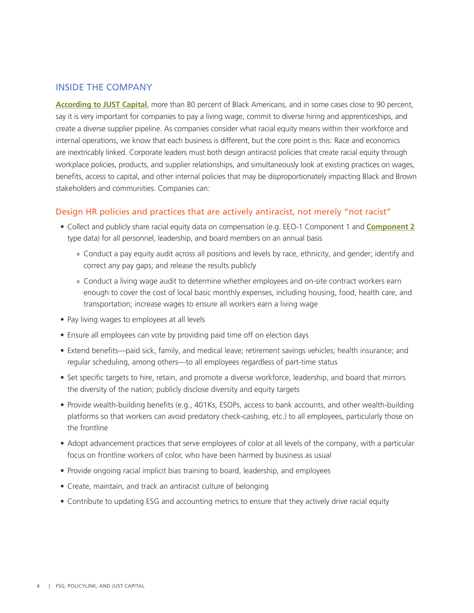#### INSIDE THE COMPANY

**[According to JUST Capital](https://justcapital.com/polling/)**, more than 80 percent of Black Americans, and in some cases close to 90 percent, say it is very important for companies to pay a living wage, commit to diverse hiring and apprenticeships, and create a diverse supplier pipeline. As companies consider what racial equity means within their workforce and internal operations, we know that each business is different, but the core point is this: Race and economics are inextricably linked. Corporate leaders must both design antiracist policies that create racial equity through workplace policies, products, and supplier relationships, and simultaneously look at existing practices on wages, benefits, access to capital, and other internal policies that may be disproportionately impacting Black and Brown stakeholders and communities. Companies can:

#### Design HR policies and practices that are actively antiracist, not merely "not racist"

- Collect and publicly share racial equity data on compensation (e.g. EEO-1 Component 1 and **[Component 2](https://www.jdsupra.com/legalnews/eeoc-closes-eeo-1-component-2-pay-data-98472/)** type data) for all personnel, leadership, and board members on an annual basis
	- » Conduct a pay equity audit across all positions and levels by race, ethnicity, and gender; identify and correct any pay gaps; and release the results publicly
	- » Conduct a living wage audit to determine whether employees and on-site contract workers earn enough to cover the cost of local basic monthly expenses, including housing, food, health care, and transportation; increase wages to ensure all workers earn a living wage
- Pay living wages to employees at all levels
- Ensure all employees can vote by providing paid time off on election days
- Extend benefits—paid sick, family, and medical leave; retirement savings vehicles; health insurance; and regular scheduling, among others—to all employees regardless of part-time status
- Set specific targets to hire, retain, and promote a diverse workforce, leadership, and board that mirrors the diversity of the nation; publicly disclose diversity and equity targets
- Provide wealth-building benefits (e.g., 401Ks, ESOPs, access to bank accounts, and other wealth-building platforms so that workers can avoid predatory check-cashing, etc.) to all employees, particularly those on the frontline
- Adopt advancement practices that serve employees of color at all levels of the company, with a particular focus on frontline workers of color, who have been harmed by business as usual
- Provide ongoing racial implicit bias training to board, leadership, and employees
- Create, maintain, and track an antiracist culture of belonging
- Contribute to updating ESG and accounting metrics to ensure that they actively drive racial equity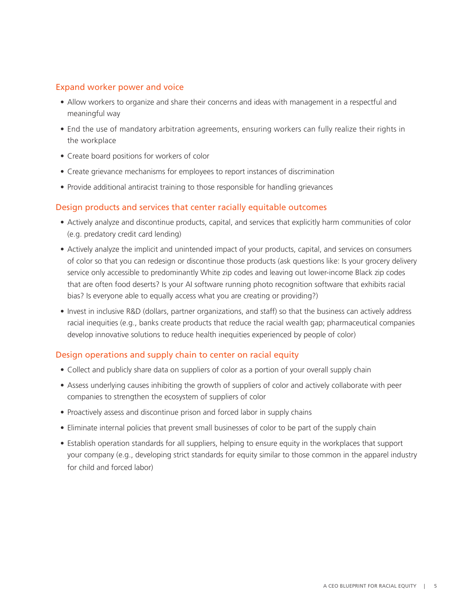#### Expand worker power and voice

- Allow workers to organize and share their concerns and ideas with management in a respectful and meaningful way
- End the use of mandatory arbitration agreements, ensuring workers can fully realize their rights in the workplace
- Create board positions for workers of color
- Create grievance mechanisms for employees to report instances of discrimination
- Provide additional antiracist training to those responsible for handling grievances

#### Design products and services that center racially equitable outcomes

- Actively analyze and discontinue products, capital, and services that explicitly harm communities of color (e.g. predatory credit card lending)
- Actively analyze the implicit and unintended impact of your products, capital, and services on consumers of color so that you can redesign or discontinue those products (ask questions like: Is your grocery delivery service only accessible to predominantly White zip codes and leaving out lower-income Black zip codes that are often food deserts? Is your AI software running photo recognition software that exhibits racial bias? Is everyone able to equally access what you are creating or providing?)
- Invest in inclusive R&D (dollars, partner organizations, and staff) so that the business can actively address racial inequities (e.g., banks create products that reduce the racial wealth gap; pharmaceutical companies develop innovative solutions to reduce health inequities experienced by people of color)

#### Design operations and supply chain to center on racial equity

- Collect and publicly share data on suppliers of color as a portion of your overall supply chain
- Assess underlying causes inhibiting the growth of suppliers of color and actively collaborate with peer companies to strengthen the ecosystem of suppliers of color
- Proactively assess and discontinue prison and forced labor in supply chains
- Eliminate internal policies that prevent small businesses of color to be part of the supply chain
- Establish operation standards for all suppliers, helping to ensure equity in the workplaces that support your company (e.g., developing strict standards for equity similar to those common in the apparel industry for child and forced labor)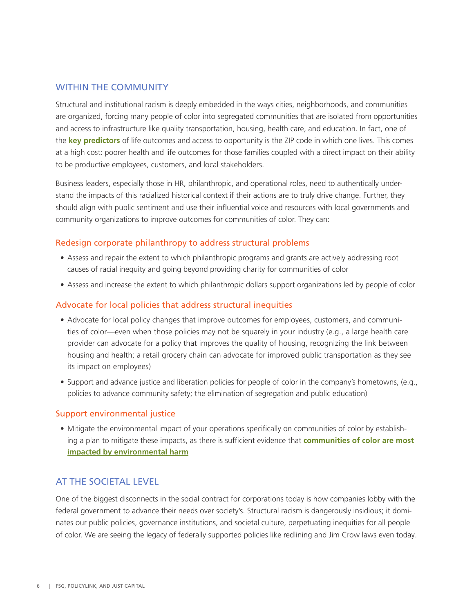#### WITHIN THE COMMUNITY

Structural and institutional racism is deeply embedded in the ways cities, neighborhoods, and communities are organized, forcing many people of color into segregated communities that are isolated from opportunities and access to infrastructure like quality transportation, housing, health care, and education. In fact, one of the **[key predictors](https://www.rwjf.org/en/library/interactives/whereyouliveaffectshowlongyoulive.html)** of life outcomes and access to opportunity is the ZIP code in which one lives. This comes at a high cost: poorer health and life outcomes for those families coupled with a direct impact on their ability to be productive employees, customers, and local stakeholders.

Business leaders, especially those in HR, philanthropic, and operational roles, need to authentically understand the impacts of this racialized historical context if their actions are to truly drive change. Further, they should align with public sentiment and use their influential voice and resources with local governments and community organizations to improve outcomes for communities of color. They can:

#### Redesign corporate philanthropy to address structural problems

- Assess and repair the extent to which philanthropic programs and grants are actively addressing root causes of racial inequity and going beyond providing charity for communities of color
- Assess and increase the extent to which philanthropic dollars support organizations led by people of color

#### Advocate for local policies that address structural inequities

- Advocate for local policy changes that improve outcomes for employees, customers, and communities of color—even when those policies may not be squarely in your industry (e.g., a large health care provider can advocate for a policy that improves the quality of housing, recognizing the link between housing and health; a retail grocery chain can advocate for improved public transportation as they see its impact on employees)
- Support and advance justice and liberation policies for people of color in the company's hometowns, (e.g., policies to advance community safety; the elimination of segregation and public education)

#### Support environmental justice

• Mitigate the environmental impact of your operations specifically on communities of color by establishing a plan to mitigate these impacts, as there is sufficient evidence that **[communities of color are most](https://www.law.nyu.edu/centers/state-impact/press-publications/expert-commentary/environmental-justice-juneteenth-2019)  [impacted by environmental harm](https://www.law.nyu.edu/centers/state-impact/press-publications/expert-commentary/environmental-justice-juneteenth-2019)**

#### AT THE SOCIETAL LEVEL

One of the biggest disconnects in the social contract for corporations today is how companies lobby with the federal government to advance their needs over society's. Structural racism is dangerously insidious; it dominates our public policies, governance institutions, and societal culture, perpetuating inequities for all people of color. We are seeing the legacy of federally supported policies like redlining and Jim Crow laws even today.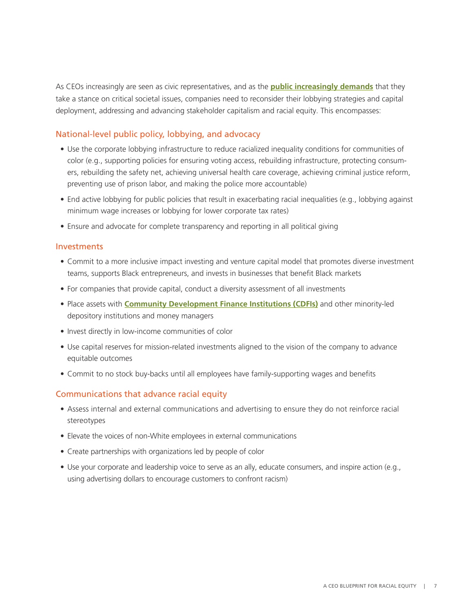As CEOs increasingly are seen as civic representatives, and as the **[public increasingly demands](https://justcapital.com/polling/)** that they take a stance on critical societal issues, companies need to reconsider their lobbying strategies and capital deployment, addressing and advancing stakeholder capitalism and racial equity. This encompasses:

#### National-level public policy, lobbying, and advocacy

- Use the corporate lobbying infrastructure to reduce racialized inequality conditions for communities of color (e.g., supporting policies for ensuring voting access, rebuilding infrastructure, protecting consumers, rebuilding the safety net, achieving universal health care coverage, achieving criminal justice reform, preventing use of prison labor, and making the police more accountable)
- End active lobbying for public policies that result in exacerbating racial inequalities (e.g., lobbying against minimum wage increases or lobbying for lower corporate tax rates)
- Ensure and advocate for complete transparency and reporting in all political giving

#### **Investments**

- Commit to a more inclusive impact investing and venture capital model that promotes diverse investment teams, supports Black entrepreneurs, and invests in businesses that benefit Black markets
- For companies that provide capital, conduct a diversity assessment of all investments
- Place assets with **[Community Development Finance Institutions \(CDFIs\)](https://www.cdfifund.gov/Pages/default.aspx)** and other minority-led depository institutions and money managers
- Invest directly in low-income communities of color
- Use capital reserves for mission-related investments aligned to the vision of the company to advance equitable outcomes
- Commit to no stock buy-backs until all employees have family-supporting wages and benefits

#### Communications that advance racial equity

- Assess internal and external communications and advertising to ensure they do not reinforce racial stereotypes
- Elevate the voices of non-White employees in external communications
- Create partnerships with organizations led by people of color
- Use your corporate and leadership voice to serve as an ally, educate consumers, and inspire action (e.g., using advertising dollars to encourage customers to confront racism)